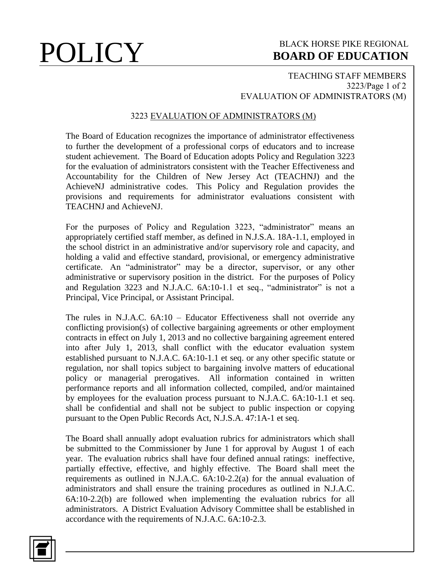# **POLICY** BLACK HORSE PIKE REGIONAL **BOARD OF EDUCATION BOARD OF EDUCATION**

### TEACHING STAFF MEMBERS 3223/Page 1 of 2 EVALUATION OF ADMINISTRATORS (M)

## 3223 EVALUATION OF ADMINISTRATORS (M)

The Board of Education recognizes the importance of administrator effectiveness to further the development of a professional corps of educators and to increase student achievement. The Board of Education adopts Policy and Regulation 3223 for the evaluation of administrators consistent with the Teacher Effectiveness and Accountability for the Children of New Jersey Act (TEACHNJ) and the AchieveNJ administrative codes. This Policy and Regulation provides the provisions and requirements for administrator evaluations consistent with TEACHNJ and AchieveNJ.

For the purposes of Policy and Regulation 3223, "administrator" means an appropriately certified staff member, as defined in N.J.S.A. 18A-1.1, employed in the school district in an administrative and/or supervisory role and capacity, and holding a valid and effective standard, provisional, or emergency administrative certificate. An "administrator" may be a director, supervisor, or any other administrative or supervisory position in the district. For the purposes of Policy and Regulation 3223 and N.J.A.C. 6A:10-1.1 et seq., "administrator" is not a Principal, Vice Principal, or Assistant Principal.

The rules in N.J.A.C.  $6A:10 -$  Educator Effectiveness shall not override any conflicting provision(s) of collective bargaining agreements or other employment contracts in effect on July 1, 2013 and no collective bargaining agreement entered into after July 1, 2013, shall conflict with the educator evaluation system established pursuant to N.J.A.C. 6A:10-1.1 et seq. or any other specific statute or regulation, nor shall topics subject to bargaining involve matters of educational policy or managerial prerogatives. All information contained in written performance reports and all information collected, compiled, and/or maintained by employees for the evaluation process pursuant to N.J.A.C. 6A:10-1.1 et seq. shall be confidential and shall not be subject to public inspection or copying pursuant to the Open Public Records Act, N.J.S.A. 47:1A-1 et seq.

The Board shall annually adopt evaluation rubrics for administrators which shall be submitted to the Commissioner by June 1 for approval by August 1 of each year. The evaluation rubrics shall have four defined annual ratings: ineffective, partially effective, effective, and highly effective. The Board shall meet the requirements as outlined in N.J.A.C. 6A:10-2.2(a) for the annual evaluation of administrators and shall ensure the training procedures as outlined in N.J.A.C. 6A:10-2.2(b) are followed when implementing the evaluation rubrics for all administrators. A District Evaluation Advisory Committee shall be established in accordance with the requirements of N.J.A.C. 6A:10-2.3.